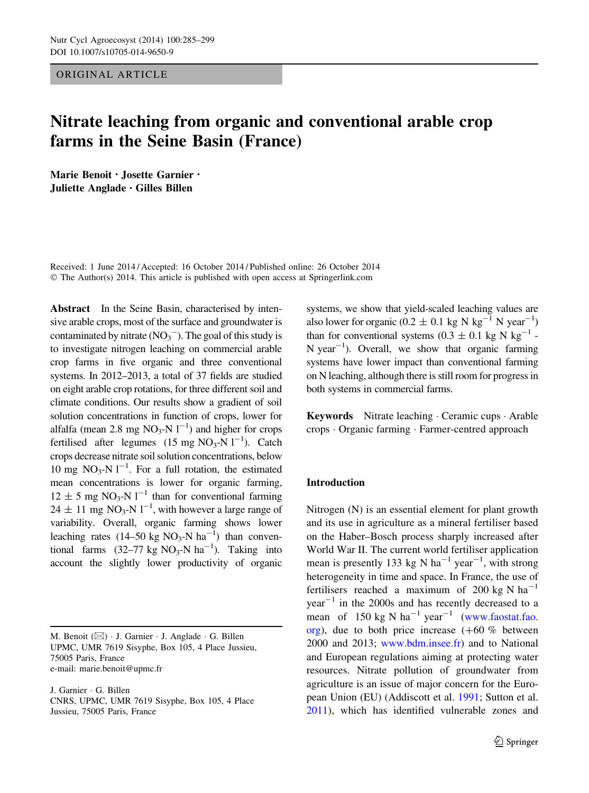# ORIGINAL ARTICLE

# Nitrate leaching from organic and conventional arable crop farms in the Seine Basin (France)

Marie Benoit • Josette Garnier • Juliette Anglade • Gilles Billen

Received: 1 June 2014 / Accepted: 16 October 2014 / Published online: 26 October 2014 © The Author(s) 2014. This article is published with open access at Springerlink.com

Abstract In the Seine Basin, characterised by intensive arable crops, most of the surface and groundwater is contaminated by nitrate  $(NO<sub>3</sub><sup>-</sup>)$ . The goal of this study is to investigate nitrogen leaching on commercial arable crop farms in five organic and three conventional systems. In 2012–2013, a total of 37 fields are studied on eight arable crop rotations, for three different soil and climate conditions. Our results show a gradient of soil solution concentrations in function of crops, lower for alfalfa (mean 2.8 mg  $NO<sub>3</sub>-N l^{-1}$ ) and higher for crops fertilised after legumes  $(15 \text{ mg NO}_3\text{-N l}^{-1})$ . Catch crops decrease nitrate soil solution concentrations, below 10 mg  $NO_3-N$  l<sup>-1</sup>. For a full rotation, the estimated mean concentrations is lower for organic farming,  $12 \pm 5$  mg NO<sub>3</sub>-N l<sup>-1</sup> than for conventional farming  $24 \pm 11$  mg NO<sub>3</sub>-N 1<sup>-1</sup>, with however a large range of variability. Overall, organic farming shows lower leaching rates  $(14–50 \text{ kg } NO<sub>3</sub>-N \text{ ha}^{-1})$  than conventional farms  $(32-77 \text{ kg NO}_3\text{-N ha}^{-1})$ . Taking into account the slightly lower productivity of organic

M. Benoit  $(\boxtimes) \cdot$  J. Garnier  $\cdot$  J. Anglade  $\cdot$  G. Billen UPMC, UMR 7619 Sisyphe, Box 105, 4 Place Jussieu, 75005 Paris, France e-mail: marie.benoit@upmc.fr

J. Garnier - G. Billen CNRS, UPMC, UMR 7619 Sisyphe, Box 105, 4 Place Jussieu, 75005 Paris, France

systems, we show that yield-scaled leaching values are also lower for organic (0.2  $\pm$  0.1 kg N kg<sup>-1</sup> N year<sup>-1</sup>) than for conventional systems  $(0.3 \pm 0.1 \text{ kg N kg}^{-1})$ N year<sup> $-1$ </sup>). Overall, we show that organic farming systems have lower impact than conventional farming on N leaching, although there is still room for progress in both systems in commercial farms.

Keywords Nitrate leaching · Ceramic cups · Arable crops - Organic farming - Farmer-centred approach

# Introduction

Nitrogen (N) is an essential element for plant growth and its use in agriculture as a mineral fertiliser based on the Haber–Bosch process sharply increased after World War II. The current world fertiliser application mean is presently 133 kg N ha<sup>-1</sup> year<sup>-1</sup>, with strong heterogeneity in time and space. In France, the use of fertilisers reached a maximum of 200 kg N  $ha^{-1}$  $year<sup>-1</sup>$  in the 2000s and has recently decreased to a mean of 150 kg N  $ha^{-1}$  year<sup>-1</sup> ([www.faostat.fao.](http://www.faostat.fao.org) [org](http://www.faostat.fao.org)), due to both price increase  $(+60\%$  between 2000 and 2013; [www.bdm.insee.fr](http://www.bdm.insee.fr)) and to National and European regulations aiming at protecting water resources. Nitrate pollution of groundwater from agriculture is an issue of major concern for the European Union (EU) (Addiscott et al. [1991;](#page-12-0) Sutton et al. [2011\)](#page-14-0), which has identified vulnerable zones and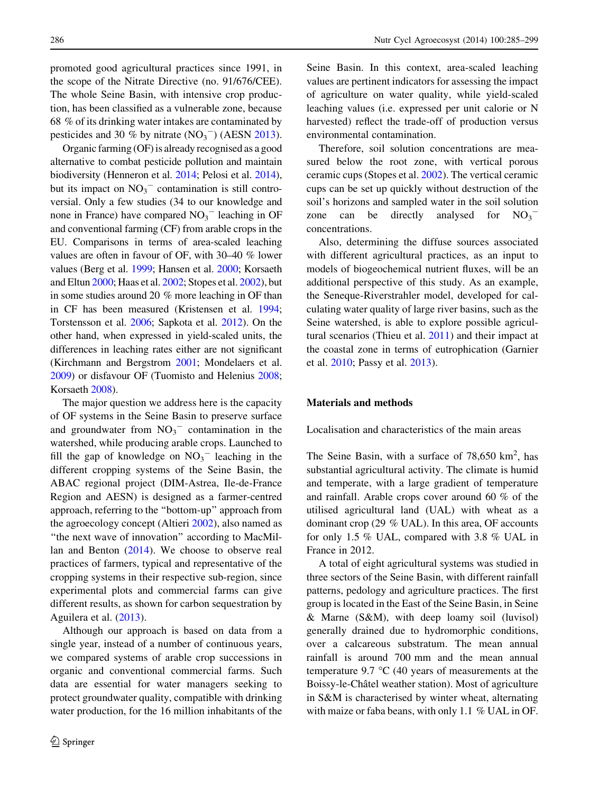promoted good agricultural practices since 1991, in the scope of the Nitrate Directive (no. 91/676/CEE). The whole Seine Basin, with intensive crop production, has been classified as a vulnerable zone, because 68 % of its drinking water intakes are contaminated by pesticides and 30 % by nitrate  $(NO<sub>3</sub><sup>-</sup>)$  (AESN [2013](#page-12-0)).

Organic farming (OF) is already recognised as a good alternative to combat pesticide pollution and maintain biodiversity (Henneron et al. [2014;](#page-13-0) Pelosi et al. [2014](#page-13-0)), but its impact on  $NO<sub>3</sub><sup>-</sup>$  contamination is still controversial. Only a few studies (34 to our knowledge and none in France) have compared  $NO<sub>3</sub><sup>-</sup>$  leaching in OF and conventional farming (CF) from arable crops in the EU. Comparisons in terms of area-scaled leaching values are often in favour of OF, with 30–40 % lower values (Berg et al. [1999;](#page-12-0) Hansen et al. [2000](#page-13-0); Korsaeth and Eltun [2000](#page-13-0); Haas et al. [2002](#page-13-0); Stopes et al. [2002](#page-14-0)), but in some studies around 20 % more leaching in OF than in CF has been measured (Kristensen et al. [1994](#page-13-0); Torstensson et al. [2006;](#page-14-0) Sapkota et al. [2012](#page-14-0)). On the other hand, when expressed in yield-scaled units, the differences in leaching rates either are not significant (Kirchmann and Bergstrom [2001;](#page-13-0) Mondelaers et al. [2009](#page-13-0)) or disfavour OF (Tuomisto and Helenius [2008](#page-14-0); Korsaeth [2008](#page-13-0)).

The major question we address here is the capacity of OF systems in the Seine Basin to preserve surface and groundwater from  $NO<sub>3</sub><sup>-</sup>$  contamination in the watershed, while producing arable crops. Launched to fill the gap of knowledge on  $NO<sub>3</sub><sup>-</sup>$  leaching in the different cropping systems of the Seine Basin, the ABAC regional project (DIM-Astrea, Ile-de-France Region and AESN) is designed as a farmer-centred approach, referring to the ''bottom-up'' approach from the agroecology concept (Altieri [2002](#page-12-0)), also named as ''the next wave of innovation'' according to MacMillan and Benton ([2014\)](#page-13-0). We choose to observe real practices of farmers, typical and representative of the cropping systems in their respective sub-region, since experimental plots and commercial farms can give different results, as shown for carbon sequestration by Aguilera et al. ([2013\)](#page-12-0).

Although our approach is based on data from a single year, instead of a number of continuous years, we compared systems of arable crop successions in organic and conventional commercial farms. Such data are essential for water managers seeking to protect groundwater quality, compatible with drinking water production, for the 16 million inhabitants of the Seine Basin. In this context, area-scaled leaching values are pertinent indicators for assessing the impact of agriculture on water quality, while yield-scaled leaching values (i.e. expressed per unit calorie or N harvested) reflect the trade-off of production versus environmental contamination.

Therefore, soil solution concentrations are measured below the root zone, with vertical porous ceramic cups (Stopes et al. [2002](#page-14-0)). The vertical ceramic cups can be set up quickly without destruction of the soil's horizons and sampled water in the soil solution zone can be directly analysed for  $NO_{3}$ concentrations.

Also, determining the diffuse sources associated with different agricultural practices, as an input to models of biogeochemical nutrient fluxes, will be an additional perspective of this study. As an example, the Seneque-Riverstrahler model, developed for calculating water quality of large river basins, such as the Seine watershed, is able to explore possible agricultural scenarios (Thieu et al. [2011](#page-14-0)) and their impact at the coastal zone in terms of eutrophication (Garnier et al. [2010](#page-13-0); Passy et al. [2013](#page-13-0)).

# Materials and methods

Localisation and characteristics of the main areas

The Seine Basin, with a surface of  $78,650 \text{ km}^2$ , has substantial agricultural activity. The climate is humid and temperate, with a large gradient of temperature and rainfall. Arable crops cover around 60 % of the utilised agricultural land (UAL) with wheat as a dominant crop (29 % UAL). In this area, OF accounts for only 1.5 % UAL, compared with 3.8 % UAL in France in 2012.

A total of eight agricultural systems was studied in three sectors of the Seine Basin, with different rainfall patterns, pedology and agriculture practices. The first group is located in the East of the Seine Basin, in Seine & Marne (S&M), with deep loamy soil (luvisol) generally drained due to hydromorphic conditions, over a calcareous substratum. The mean annual rainfall is around 700 mm and the mean annual temperature 9.7  $\degree$ C (40 years of measurements at the Boissy-le-Châtel weather station). Most of agriculture in S&M is characterised by winter wheat, alternating with maize or faba beans, with only 1.1 % UAL in OF.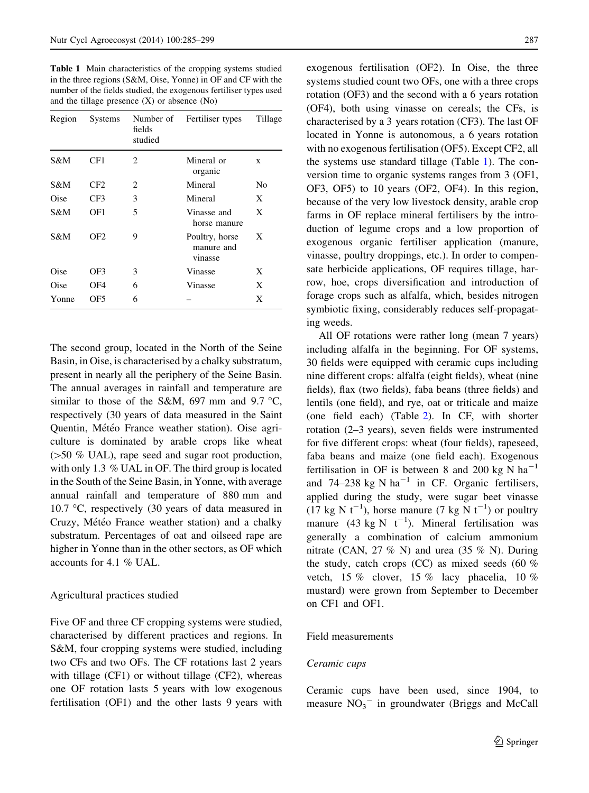Table 1 Main characteristics of the cropping systems studied in the three regions (S&M, Oise, Yonne) in OF and CF with the number of the fields studied, the exogenous fertiliser types used and the tillage presence (X) or absence (No)

| Region | <b>Systems</b> | Number of<br>fields<br>studied | Fertiliser types                        | Tillage |
|--------|----------------|--------------------------------|-----------------------------------------|---------|
| S&M    | CF1            | 2                              | Mineral or<br>organic                   | X       |
| S&M    | CF2            | 2                              | Mineral                                 | No      |
| Oise   | CF3            | 3                              | Mineral                                 | X       |
| S&M    | OF1            | 5                              | Vinasse and<br>horse manure             | X       |
| S&M    | OF2            | 9                              | Poultry, horse<br>manure and<br>vinasse | X       |
| Oise   | OF3            | 3                              | Vinasse                                 | X       |
| Oise   | OF4            | 6                              | Vinasse                                 | X       |
| Yonne  | OF5            | 6                              |                                         | X       |

The second group, located in the North of the Seine Basin, in Oise, is characterised by a chalky substratum, present in nearly all the periphery of the Seine Basin. The annual averages in rainfall and temperature are similar to those of the S&M, 697 mm and 9.7  $\textdegree$ C, respectively (30 years of data measured in the Saint Quentin, Météo France weather station). Oise agriculture is dominated by arable crops like wheat  $($ >50 % UAL), rape seed and sugar root production, with only 1.3 % UAL in OF. The third group is located in the South of the Seine Basin, in Yonne, with average annual rainfall and temperature of 880 mm and 10.7  $\degree$ C, respectively (30 years of data measured in Cruzy, Météo France weather station) and a chalky substratum. Percentages of oat and oilseed rape are higher in Yonne than in the other sectors, as OF which accounts for 4.1 % UAL.

#### Agricultural practices studied

Five OF and three CF cropping systems were studied, characterised by different practices and regions. In S&M, four cropping systems were studied, including two CFs and two OFs. The CF rotations last 2 years with tillage (CF1) or without tillage (CF2), whereas one OF rotation lasts 5 years with low exogenous fertilisation (OF1) and the other lasts 9 years with exogenous fertilisation (OF2). In Oise, the three systems studied count two OFs, one with a three crops rotation (OF3) and the second with a 6 years rotation (OF4), both using vinasse on cereals; the CFs, is characterised by a 3 years rotation (CF3). The last OF located in Yonne is autonomous, a 6 years rotation with no exogenous fertilisation (OF5). Except CF2, all the systems use standard tillage (Table 1). The conversion time to organic systems ranges from 3 (OF1, OF3, OF5) to 10 years (OF2, OF4). In this region, because of the very low livestock density, arable crop farms in OF replace mineral fertilisers by the introduction of legume crops and a low proportion of exogenous organic fertiliser application (manure, vinasse, poultry droppings, etc.). In order to compensate herbicide applications, OF requires tillage, harrow, hoe, crops diversification and introduction of forage crops such as alfalfa, which, besides nitrogen symbiotic fixing, considerably reduces self-propagating weeds.

All OF rotations were rather long (mean 7 years) including alfalfa in the beginning. For OF systems, 30 fields were equipped with ceramic cups including nine different crops: alfalfa (eight fields), wheat (nine fields), flax (two fields), faba beans (three fields) and lentils (one field), and rye, oat or triticale and maize (one field each) (Table [2\)](#page-3-0). In CF, with shorter rotation (2–3 years), seven fields were instrumented for five different crops: wheat (four fields), rapeseed, faba beans and maize (one field each). Exogenous fertilisation in OF is between 8 and 200 kg N  $ha^{-1}$ and 74–238 kg N ha<sup>-1</sup> in CF. Organic fertilisers, applied during the study, were sugar beet vinasse (17 kg N t<sup>-1</sup>), horse manure (7 kg N t<sup>-1</sup>) or poultry manure (43 kg N  $t^{-1}$ ). Mineral fertilisation was generally a combination of calcium ammonium nitrate (CAN, 27 % N) and urea (35 % N). During the study, catch crops (CC) as mixed seeds (60 % vetch, 15 % clover, 15 % lacy phacelia, 10 % mustard) were grown from September to December on CF1 and OF1.

#### Field measurements

### Ceramic cups

Ceramic cups have been used, since 1904, to measure  $NO_3$ <sup>-</sup> in groundwater (Briggs and McCall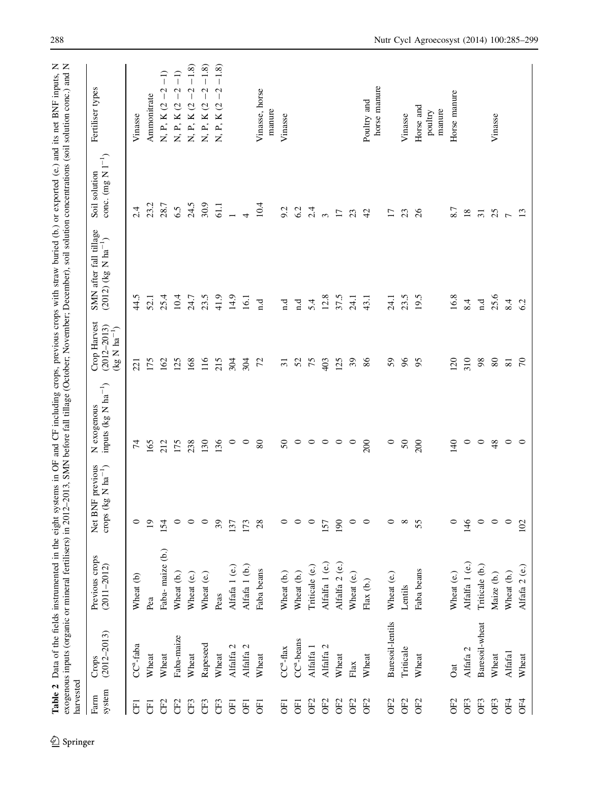| harvested        |                          | Table 2 Data of the fields instrumented in the<br>exogenous inputs (organic or mineral fertilisers) |                                                  |                                         |                                                                     | eight systems in OF and CF including crops, previous crops with straw buried (b.) or exported (e.) and its net BNF inputs, N<br>in 2012–2013, SMN before fall tillage (October; November; December), soil solution concentrations |                                                 |                                                            |
|------------------|--------------------------|-----------------------------------------------------------------------------------------------------|--------------------------------------------------|-----------------------------------------|---------------------------------------------------------------------|-----------------------------------------------------------------------------------------------------------------------------------------------------------------------------------------------------------------------------------|-------------------------------------------------|------------------------------------------------------------|
| system<br>Farm   | $(2012 - 2013)$<br>Crops | Previous crops<br>$(2011 - 2012)$                                                                   | Net BNF previous<br>crops (kg N ${\rm ha}^{-1})$ | N exogenous<br>inputs (kg N $ha^{-1}$ ) | Crop Harvest<br>$(2012 - 2013)$<br>$\text{kg}$ N ha <sup>-1</sup> ) | SMN after fall tillage<br>$(2012)$ (kg N ha <sup>-1</sup> )                                                                                                                                                                       | conc. (mg N $\mathbf{I}^{-1})$<br>Soil solution | Fertiliser types                                           |
| E                | $CCa-faba$               | Wheat (b)                                                                                           | $\circ$                                          | $\overline{7}$                          | $\overline{21}$                                                     | 44.5                                                                                                                                                                                                                              | 2.4                                             | Vinasse                                                    |
| E                | Wheat                    | Pea                                                                                                 | 19                                               | 165                                     | 175                                                                 | 52.1                                                                                                                                                                                                                              | 23.2                                            | Ammonitrate                                                |
| C <sub>E</sub>   | Wheat                    | Faba-maize (b.)                                                                                     | 154                                              | 212                                     | 162                                                                 | 25.4                                                                                                                                                                                                                              | 28.7                                            | $\widehat{=}$<br>Z<br>$\overline{c}$<br>P, K<br>z          |
| C <sub>E</sub>   | Faba-maize               | Wheat (b.)                                                                                          | $\circ$                                          | 175                                     | 125                                                                 | 10.4                                                                                                                                                                                                                              | 6.5                                             | $\sim$<br>$\overline{c}$<br>N, P, K                        |
| C <sub>E</sub> 3 | Wheat                    | Wheat (e.)                                                                                          | $\circ$                                          | 238                                     | 168                                                                 | 24.7                                                                                                                                                                                                                              | 24.5                                            | $-1.8$<br>$\mathbf{\Omega}$<br>$\overline{c}$<br>P, K<br>z |
| C <sub>E</sub> 3 | Rapeseed                 | Wheat (e.)                                                                                          | $\circ$                                          | 130                                     | 116                                                                 | 23.5                                                                                                                                                                                                                              | 30.9                                            | $-1.8$<br>$\mathbf{C}$<br>$\overline{c}$<br>P, K<br>z      |
| C <sub>E</sub> 3 | Wheat                    | Peas                                                                                                | 39                                               | 136                                     | 215                                                                 | 41.9                                                                                                                                                                                                                              | 61.1                                            | $-1.8$<br>$\mathbf{C}$<br>T<br>$\overline{c}$<br>P, K<br>z |
| E                | Alfalfa <sub>2</sub>     | Alfafa 1 (e.)                                                                                       | 137                                              | $\circ$                                 | 304                                                                 | 14.9                                                                                                                                                                                                                              |                                                 |                                                            |
| F                | Alfalfa 2                | Alfafa 1 (b.)                                                                                       | 173                                              | $\circ$                                 | 304                                                                 | 16.1                                                                                                                                                                                                                              | $\overline{a}$                                  |                                                            |
| E                | Wheat                    | Faba beans                                                                                          | 28                                               | 80                                      | $\mathcal{L}$                                                       | n.d                                                                                                                                                                                                                               | 10.4                                            | Vinasse, horse                                             |
|                  |                          |                                                                                                     |                                                  |                                         |                                                                     |                                                                                                                                                                                                                                   |                                                 | manure                                                     |
| E                | $CC^{a}$ -flax           | Wheat (b.)                                                                                          | 0                                                | $50\,$                                  | 51                                                                  | n.d                                                                                                                                                                                                                               | 9.2                                             | Vinasse                                                    |
| EO               | CC <sup>a</sup> -beans   | Wheat (b.)                                                                                          | $\circ$                                          | $\circ$                                 | 52                                                                  | n.d                                                                                                                                                                                                                               | 6.2                                             |                                                            |
| OF <sub>2</sub>  | Alfalfa 1                | Triticale (e.)                                                                                      | $\circ$                                          | $\circ$                                 | 75                                                                  | 5.4                                                                                                                                                                                                                               | 2.4                                             |                                                            |
| OF <sub>2</sub>  | $\mathcal{L}$<br>Alfalfa | Alfalfa 1 (e.)                                                                                      | 157                                              | $\circ$                                 | 403                                                                 | 12.8                                                                                                                                                                                                                              | $\tilde{3}$                                     |                                                            |
| OF <sub>2</sub>  | Wheat                    | Alfalfa 2 (e.)                                                                                      | 190                                              | $\circ$                                 | 125                                                                 | 37.5                                                                                                                                                                                                                              | $\overline{17}$                                 |                                                            |
| OF <sub>2</sub>  | $_{\rm{Flax}}$           | Wheat (e.)                                                                                          | $\circ$                                          | $\circ$                                 | 39                                                                  | 24.1                                                                                                                                                                                                                              | 23                                              |                                                            |
| <b>GEO</b>       | Wheat                    | Flax $(b.)$                                                                                         | $\circ$                                          | 200                                     | 86                                                                  | 43.1                                                                                                                                                                                                                              | 42                                              | horse manure<br>Poultry and                                |
| OF <sub>2</sub>  | Baresoil-lentils         | Wheat (e.)                                                                                          | $\circ$                                          | $\circ$                                 | 59                                                                  | 24.1                                                                                                                                                                                                                              | $\Box$                                          |                                                            |
| O <sub>E</sub>   | Triticale                | Lentils                                                                                             | ${}^{\circ}$                                     | $50\,$                                  | 96                                                                  | 23.5                                                                                                                                                                                                                              | 23                                              | Vinasse                                                    |
| <b>GEO</b>       | Wheat                    | Faba beans                                                                                          | 55                                               | 200                                     | 95                                                                  | 19.5                                                                                                                                                                                                                              | 26                                              | Horse and                                                  |
|                  |                          |                                                                                                     |                                                  |                                         |                                                                     |                                                                                                                                                                                                                                   |                                                 | manure<br>poultry                                          |
| <b>GEO</b>       | Oat                      | Wheat (e.)                                                                                          | $\circ$                                          | 140                                     | 120                                                                 | 16.8                                                                                                                                                                                                                              | 8.7                                             | Horse manure                                               |
| OF3              | Alfafa 2                 | Alfalfa 1 (e.)                                                                                      | 146                                              | $\circ$                                 | 310                                                                 | 8.4                                                                                                                                                                                                                               | $\overline{18}$                                 |                                                            |
| OF3              | Baresoil-wheat           | Triticale (b.)                                                                                      | $\circ$                                          | $\circ$                                 | 98                                                                  | n.d                                                                                                                                                                                                                               | $\overline{31}$                                 |                                                            |
| OF3              | Wheat                    | Maize (b.)                                                                                          | $\circ$                                          | 48                                      | 80                                                                  | 25.6                                                                                                                                                                                                                              | 25                                              | Vinasse                                                    |
| OF4              | Alfafa <sub>1</sub>      | Wheat (b.)                                                                                          | $\circ$                                          | $\circ$                                 | $\overline{81}$                                                     | 8.4                                                                                                                                                                                                                               | $\overline{ }$                                  |                                                            |
| OF4              | Wheat                    | Alfafa 2 (e.)                                                                                       | 102                                              |                                         | $\sqrt{2}$                                                          | 62                                                                                                                                                                                                                                | 13                                              |                                                            |

<span id="page-3-0"></span>

 $\underline{\textcircled{\tiny 2}}$  Springer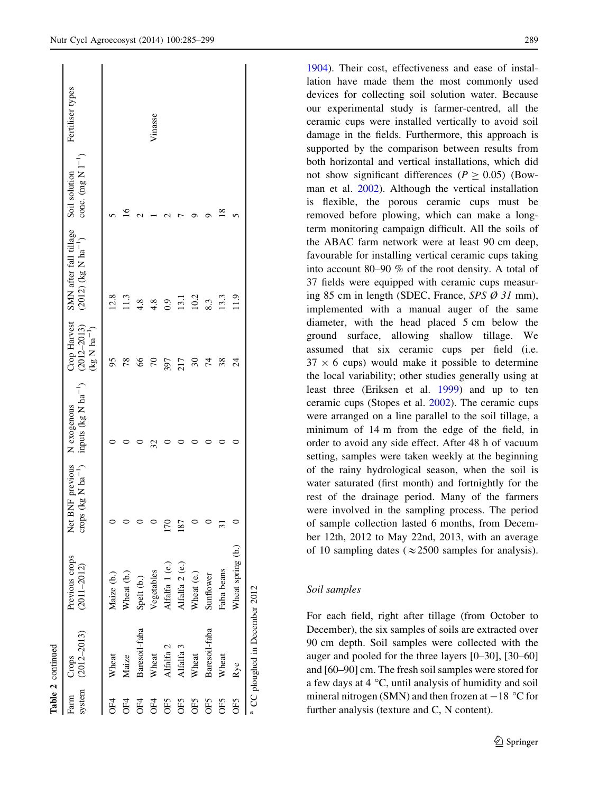|                 | Table 2 continued                         |                                   |                                             |                                            |                                                     |                                                             |                                                 |                  |
|-----------------|-------------------------------------------|-----------------------------------|---------------------------------------------|--------------------------------------------|-----------------------------------------------------|-------------------------------------------------------------|-------------------------------------------------|------------------|
| Farm            | system (2012-2013)<br>Crops               | Previous crops<br>$(2011 - 2012)$ | Net BNF previous<br>crops (kg N $ha^{-1}$ ) | inputs ( $kg$ N $ha^{-1}$ )<br>N exogenous | Crop Harvest<br>$(2012 - 2013)$<br>$(kg N ha^{-1})$ | SMN after fall tillage<br>$(2012)$ (kg N ha <sup>-1</sup> ) | conc. (mg N $\mathbf{l}^{-1})$<br>Soil solution | Fertiliser types |
| OFA             | Wheat                                     | Maize (b.)                        |                                             |                                            | 95                                                  | 12.8                                                        |                                                 |                  |
| OF4             | Maize                                     | Wheat (b.)                        |                                             |                                            | 78                                                  | <u>ت</u>                                                    |                                                 |                  |
| OF4             | Baresoil-faba                             | Spelt (b.)                        |                                             |                                            | 66                                                  | 4.8                                                         |                                                 |                  |
| OF <sub>4</sub> | Wheat                                     | Vegetables                        |                                             |                                            | $\approx$                                           | 4.8                                                         |                                                 | Vinasse          |
| <b>OF5</b>      | Alfalfa 2                                 | Alfalfa 1 (e.)                    | 170                                         |                                            | 397                                                 | 0.9                                                         |                                                 |                  |
| <b>CHO</b>      | Alfalfa 3                                 | Alfalfa 2 (e.)                    | 187                                         |                                            | 217                                                 | 13.1                                                        |                                                 |                  |
| <b>GH5</b>      | Wheat                                     | Wheat (e.)                        |                                             |                                            | $\overline{30}$                                     | 10.2                                                        |                                                 |                  |
| OF5             | Baresoil-faba                             | Sunflower                         |                                             |                                            | 74                                                  | 8.3                                                         | σ                                               |                  |
| <b>CHO</b>      | Wheat                                     | Faba beans                        |                                             |                                            | 38                                                  | 13.3                                                        | $\frac{8}{2}$                                   |                  |
| OF <sub>5</sub> | Rye                                       | Wheat spring (b.)                 |                                             |                                            | 24                                                  | $\frac{1}{2}$                                               |                                                 |                  |
|                 | <sup>a</sup> CC ploughed in December 2012 |                                   |                                             |                                            |                                                     |                                                             |                                                 |                  |

[1904\)](#page-12-0). Their cost, effectiveness and ease of installation have made them the most commonly used devices for collecting soil solution water. Because our experimental study is farmer-centred, all the ceramic cups were installed vertically to avoid soil damage in the fields. Furthermore, this approach is supported by the comparison between results from both horizontal and vertical installations, which did not show significant differences ( $P \ge 0.05$ ) (Bowman et al. [2002](#page-12-0)). Although the vertical installation is flexible, the porous ceramic cups must be removed before plowing, which can make a longterm monitoring campaign difficult. All the soils of the ABAC farm network were at least 90 cm deep, favourable for installing vertical ceramic cups taking into account 80–90 % of the root density. A total of 37 fields were equipped with ceramic cups measuring 85 cm in length (SDEC, France, SPS  $\varnothing$  31 mm), implemented with a manual auger of the same diameter, with the head placed 5 cm below the ground surface, allowing shallow tillage. We assumed that six ceramic cups per field (i.e.  $37 \times 6$  cups) would make it possible to determine the local variability; other studies generally using at least three (Eriksen et al. [1999\)](#page-13-0) and up to ten ceramic cups (Stopes et al. [2002\)](#page-14-0). The ceramic cups were arranged on a line parallel to the soil tillage, a minimum of 14 m from the edge of the field, in order to avoid any side effect. After 48 h of vacuum setting, samples were taken weekly at the beginning of the rainy hydrological season, when the soil is water saturated (first month) and fortnightly for the rest of the drainage period. Many of the farmers were involved in the sampling process. The period of sample collection lasted 6 months, from December 12th, 2012 to May 22nd, 2013, with an average of 10 sampling dates ( $\approx$ 2500 samples for analysis).

# Soil samples

For each field, right after tillage (from October to December), the six samples of soils are extracted over 90 cm depth. Soil samples were collected with the auger and pooled for the three layers [0–30], [30–60] and [60–90] cm. The fresh soil samples were stored for a few days at  $4 \degree C$ , until analysis of humidity and soil mineral nitrogen (SMN) and then frozen at  $-18$  °C for further analysis (texture and C, N content).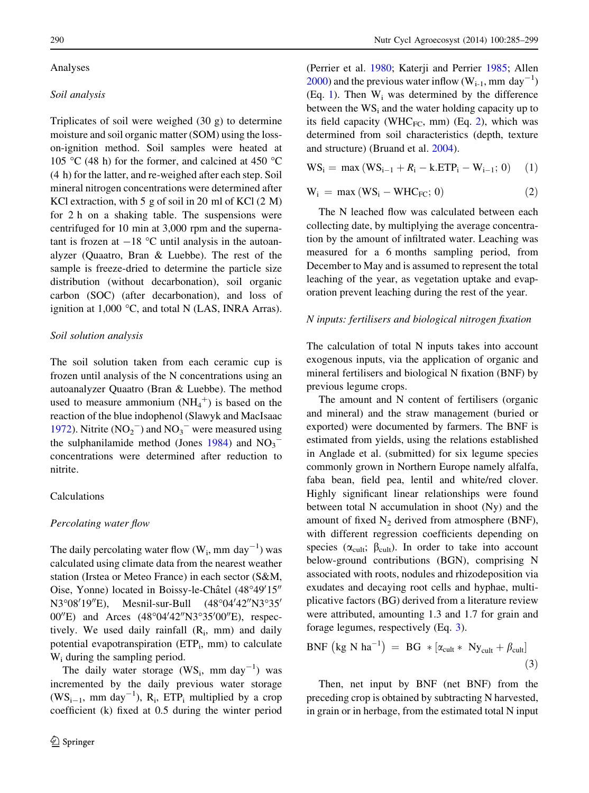#### Analyses

#### Soil analysis

Triplicates of soil were weighed (30 g) to determine moisture and soil organic matter (SOM) using the losson-ignition method. Soil samples were heated at 105 °C (48 h) for the former, and calcined at 450 °C (4 h) for the latter, and re-weighed after each step. Soil mineral nitrogen concentrations were determined after KCl extraction, with 5 g of soil in 20 ml of KCl (2 M) for 2 h on a shaking table. The suspensions were centrifuged for 10 min at 3,000 rpm and the supernatant is frozen at  $-18$  °C until analysis in the autoanalyzer (Quaatro, Bran & Luebbe). The rest of the sample is freeze-dried to determine the particle size distribution (without decarbonation), soil organic carbon (SOC) (after decarbonation), and loss of ignition at  $1,000$  °C, and total N (LAS, INRA Arras).

## Soil solution analysis

The soil solution taken from each ceramic cup is frozen until analysis of the N concentrations using an autoanalyzer Quaatro (Bran & Luebbe). The method used to measure ammonium  $(NH_4^+)$  is based on the reaction of the blue indophenol (Slawyk and MacIsaac [1972\)](#page-14-0). Nitrite  $(NO<sub>2</sub><sup>-</sup>)$  and  $NO<sub>3</sub><sup>-</sup>$  were measured using the sulphanilamide method (Jones [1984](#page-13-0)) and  $NO_3$ <sup>-</sup> concentrations were determined after reduction to nitrite.

#### Calculations

# Percolating water flow

The daily percolating water flow  $(W_i, \text{mm day}^{-1})$  was calculated using climate data from the nearest weather station (Irstea or Meteo France) in each sector (S&M, Oise, Yonne) located in Boissy-le-Châtel (48°49'15"  $N3^{\circ}08'19''E$ , Mesnil-sur-Bull  $(48^{\circ}04'42''N3^{\circ}35'$ 00"E) and Arces  $(48^{\circ}04'42''N3^{\circ}35'00''E)$ , respectively. We used daily rainfall  $(R<sub>i</sub>, mm)$  and daily potential evapotranspiration (ETP<sub>i</sub>, mm) to calculate Wi during the sampling period.

The daily water storage  $(WS_i, mm \, day^{-1})$  was incremented by the daily previous water storage  $(WS_{i-1}$ , mm day<sup>-1</sup>), R<sub>i</sub>, ETP<sub>i</sub> multiplied by a crop coefficient (k) fixed at 0.5 during the winter period (Perrier et al. [1980;](#page-13-0) Katerji and Perrier [1985](#page-13-0); Allen  $2000$ ) and the previous water inflow  $(W_{i-1}, \text{mm day}^{-1})$ (Eq. 1). Then  $W_i$  was determined by the difference between the  $WS_i$  and the water holding capacity up to its field capacity (WHC $_{FC}$ , mm) (Eq. 2), which was determined from soil characteristics (depth, texture and structure) (Bruand et al. [2004](#page-12-0)).

$$
WS_i = \, max \, (WS_{i-1} + R_i - k.ETP_i - W_{i-1}; \, 0) \quad \ (1)
$$

$$
W_i = \max (WS_i - WHC_{FC}; 0)
$$
 (2)

The N leached flow was calculated between each collecting date, by multiplying the average concentration by the amount of infiltrated water. Leaching was measured for a 6 months sampling period, from December to May and is assumed to represent the total leaching of the year, as vegetation uptake and evaporation prevent leaching during the rest of the year.

#### N inputs: fertilisers and biological nitrogen fixation

The calculation of total N inputs takes into account exogenous inputs, via the application of organic and mineral fertilisers and biological N fixation (BNF) by previous legume crops.

The amount and N content of fertilisers (organic and mineral) and the straw management (buried or exported) were documented by farmers. The BNF is estimated from yields, using the relations established in Anglade et al. (submitted) for six legume species commonly grown in Northern Europe namely alfalfa, faba bean, field pea, lentil and white/red clover. Highly significant linear relationships were found between total N accumulation in shoot (Ny) and the amount of fixed  $N_2$  derived from atmosphere (BNF), with different regression coefficients depending on species ( $\alpha_{\text{cult}}$ ;  $\beta_{\text{cult}}$ ). In order to take into account below-ground contributions (BGN), comprising N associated with roots, nodules and rhizodeposition via exudates and decaying root cells and hyphae, multiplicative factors (BG) derived from a literature review were attributed, amounting 1.3 and 1.7 for grain and forage legumes, respectively (Eq. 3).

$$
BNF (kg N ha^{-1}) = BG * [\alpha_{\text{cut}} * Ny_{\text{cut}} + \beta_{\text{cut}}]
$$
\n(3)

Then, net input by BNF (net BNF) from the preceding crop is obtained by subtracting N harvested, in grain or in herbage, from the estimated total N input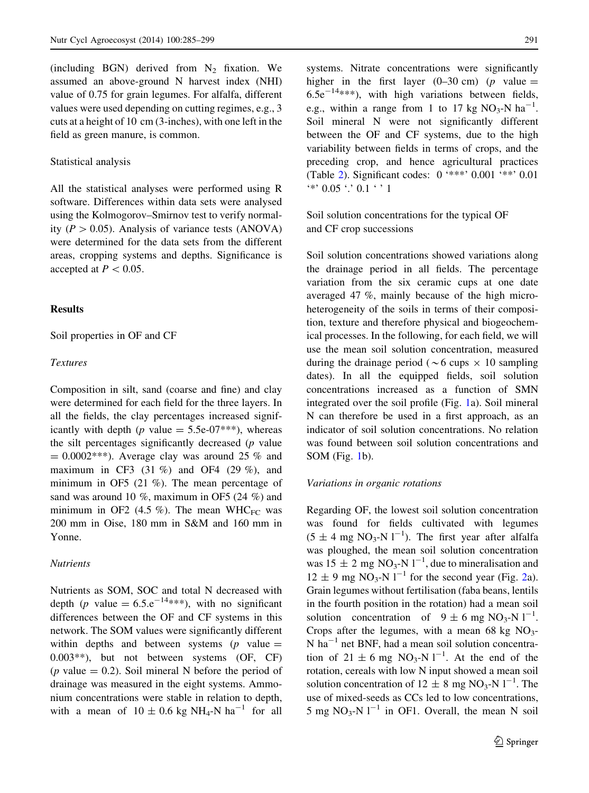(including BGN) derived from  $N_2$  fixation. We assumed an above-ground N harvest index (NHI) value of 0.75 for grain legumes. For alfalfa, different values were used depending on cutting regimes, e.g., 3 cuts at a height of 10 cm (3-inches), with one left in the field as green manure, is common.

#### Statistical analysis

All the statistical analyses were performed using R software. Differences within data sets were analysed using the Kolmogorov–Smirnov test to verify normality ( $P > 0.05$ ). Analysis of variance tests (ANOVA) were determined for the data sets from the different areas, cropping systems and depths. Significance is accepted at  $P < 0.05$ .

#### **Results**

Soil properties in OF and CF

## Textures

Composition in silt, sand (coarse and fine) and clay were determined for each field for the three layers. In all the fields, the clay percentages increased significantly with depth ( $p$  value = 5.5e-07\*\*\*), whereas the silt percentages significantly decreased  $(p$  value  $= 0.0002$ \*\*\*). Average clay was around 25 % and maximum in CF3  $(31\%)$  and OF4  $(29\%)$ , and minimum in OF5 (21 %). The mean percentage of sand was around 10 %, maximum in OF5 (24 %) and minimum in OF2 (4.5 %). The mean WHC<sub>FC</sub> was 200 mm in Oise, 180 mm in S&M and 160 mm in Yonne.

# **Nutrients**

Nutrients as SOM, SOC and total N decreased with depth (p value =  $6.5.e^{-14***}$ ), with no significant differences between the OF and CF systems in this network. The SOM values were significantly different within depths and between systems  $(p \text{ value} =$ 0.003\*\*), but not between systems (OF, CF) (*p* value  $= 0.2$ ). Soil mineral N before the period of drainage was measured in the eight systems. Ammonium concentrations were stable in relation to depth, with a mean of  $10 \pm 0.6$  kg NH<sub>4</sub>-N ha<sup>-1</sup> for all systems. Nitrate concentrations were significantly higher in the first layer (0–30 cm) ( $p$  value =  $6.5e^{-14***}$ , with high variations between fields, e.g., within a range from 1 to 17 kg  $NO_3$ -N ha<sup>-1</sup>. Soil mineral N were not significantly different between the OF and CF systems, due to the high variability between fields in terms of crops, and the preceding crop, and hence agricultural practices (Table [2](#page-3-0)). Significant codes: 0 '\*\*\*' 0.001 '\*\*' 0.01 '\*' 0.05 '.' 0.1 ' ' 1

Soil solution concentrations for the typical OF and CF crop successions

Soil solution concentrations showed variations along the drainage period in all fields. The percentage variation from the six ceramic cups at one date averaged 47 %, mainly because of the high microheterogeneity of the soils in terms of their composition, texture and therefore physical and biogeochemical processes. In the following, for each field, we will use the mean soil solution concentration, measured during the drainage period ( $\sim 6$  cups  $\times$  10 sampling dates). In all the equipped fields, soil solution concentrations increased as a function of SMN integrated over the soil profile (Fig. [1](#page-7-0)a). Soil mineral N can therefore be used in a first approach, as an indicator of soil solution concentrations. No relation was found between soil solution concentrations and SOM (Fig. [1b](#page-7-0)).

#### Variations in organic rotations

Regarding OF, the lowest soil solution concentration was found for fields cultivated with legumes  $(5 \pm 4 \text{ mg NO}_3\text{-N l}^{-1})$ . The first year after alfalfa was ploughed, the mean soil solution concentration was  $15 \pm 2$  mg NO<sub>3</sub>-N  $1^{-1}$ , due to mineralisation and  $12 \pm 9$  mg NO<sub>3</sub>-N l<sup>-1</sup> for the second year (Fig. [2a](#page-7-0)). Grain legumes without fertilisation (faba beans, lentils in the fourth position in the rotation) had a mean soil solution concentration of  $9 \pm 6$  mg NO<sub>3</sub>-N l<sup>-1</sup>. Crops after the legumes, with a mean 68 kg  $NO<sub>3</sub>$ - $N$  ha<sup>-1</sup> net BNF, had a mean soil solution concentration of  $21 \pm 6$  mg NO<sub>3</sub>-N l<sup>-1</sup>. At the end of the rotation, cereals with low N input showed a mean soil solution concentration of  $12 \pm 8$  mg NO<sub>3</sub>-N 1<sup>-1</sup>. The use of mixed-seeds as CCs led to low concentrations, 5 mg NO<sub>3</sub>-N l<sup>-1</sup> in OF1. Overall, the mean N soil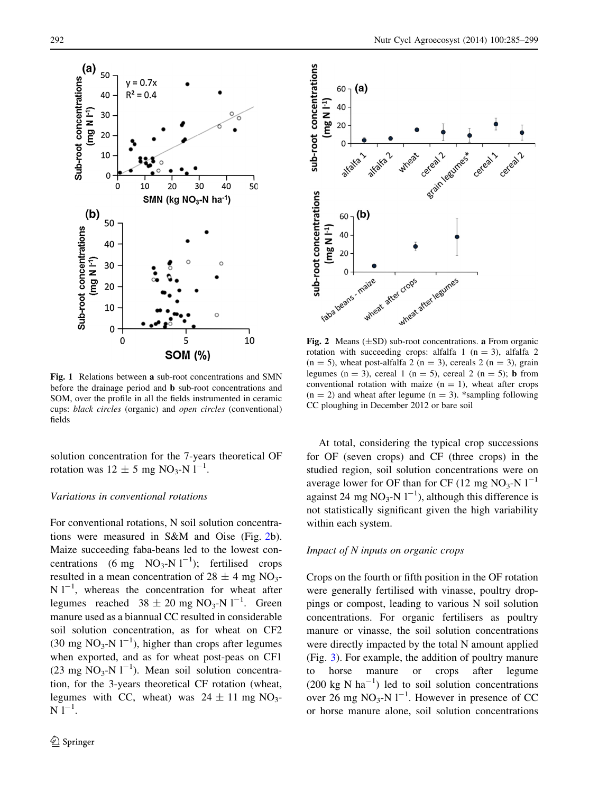<span id="page-7-0"></span>

Fig. 1 Relations between a sub-root concentrations and SMN before the drainage period and b sub-root concentrations and SOM, over the profile in all the fields instrumented in ceramic cups: black circles (organic) and open circles (conventional) fields

solution concentration for the 7-years theoretical OF rotation was  $12 \pm 5$  mg NO<sub>3</sub>-N  $1^{-1}$ .

#### Variations in conventional rotations

For conventional rotations, N soil solution concentrations were measured in S&M and Oise (Fig. 2b). Maize succeeding faba-beans led to the lowest concentrations (6 mg  $NO_3-N l^{-1}$ ); fertilised crops resulted in a mean concentration of  $28 \pm 4$  mg NO<sub>3</sub>- $N l^{-1}$ , whereas the concentration for wheat after legumes reached  $38 \pm 20$  mg NO<sub>3</sub>-N l<sup>-1</sup>. Green manure used as a biannual CC resulted in considerable soil solution concentration, as for wheat on CF2 (30 mg  $NO_3$ -N  $l^{-1}$ ), higher than crops after legumes when exported, and as for wheat post-peas on CF1  $(23 \text{ mg NO}_3\text{-N l}^{-1})$ . Mean soil solution concentration, for the 3-years theoretical CF rotation (wheat, legumes with CC, wheat) was  $24 \pm 11$  mg NO<sub>3</sub>- $N 1^{-1}$ .



Fig. 2 Means  $(\pm SD)$  sub-root concentrations. a From organic rotation with succeeding crops: alfalfa 1 ( $n = 3$ ), alfalfa 2  $(n = 5)$ , wheat post-alfalfa 2  $(n = 3)$ , cereals 2  $(n = 3)$ , grain legumes (n = 3), cereal 1 (n = 5), cereal 2 (n = 5); **b** from conventional rotation with maize  $(n = 1)$ , wheat after crops  $(n = 2)$  and wheat after legume  $(n = 3)$ . \*sampling following CC ploughing in December 2012 or bare soil

At total, considering the typical crop successions for OF (seven crops) and CF (three crops) in the studied region, soil solution concentrations were on average lower for OF than for CF (12 mg  $NO<sub>3</sub>-N$  l<sup>-1</sup> against 24 mg  $NO_3$ -N  $l^{-1}$ ), although this difference is not statistically significant given the high variability within each system.

# Impact of N inputs on organic crops

Crops on the fourth or fifth position in the OF rotation were generally fertilised with vinasse, poultry droppings or compost, leading to various N soil solution concentrations. For organic fertilisers as poultry manure or vinasse, the soil solution concentrations were directly impacted by the total N amount applied (Fig. [3](#page-8-0)). For example, the addition of poultry manure to horse manure or crops after legume  $(200 \text{ kg N} \text{ ha}^{-1})$  led to soil solution concentrations over 26 mg  $NO_3$ -N  $l^{-1}$ . However in presence of CC or horse manure alone, soil solution concentrations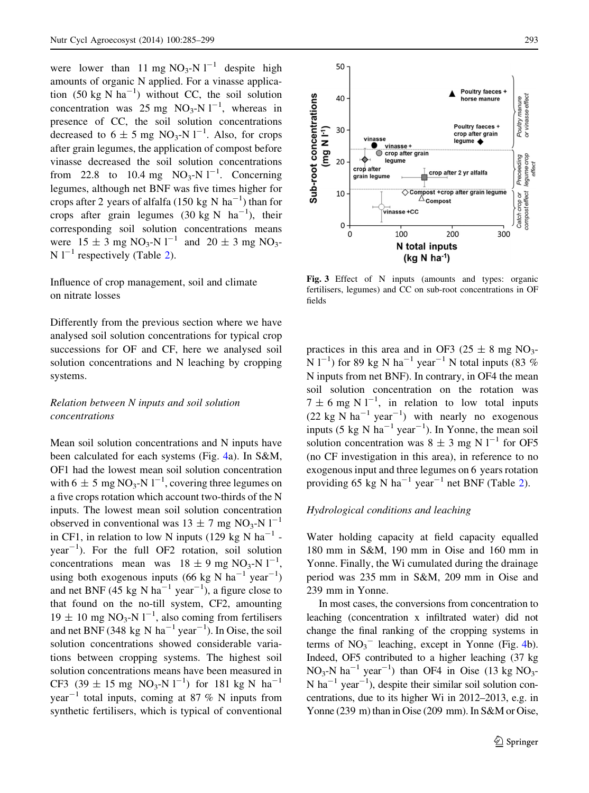<span id="page-8-0"></span>were lower than 11 mg  $NO_3-N1^{-1}$  despite high amounts of organic N applied. For a vinasse application  $(50 \text{ kg N ha}^{-1})$  without CC, the soil solution concentration was 25 mg  $NO_3-N1^{-1}$ , whereas in presence of CC, the soil solution concentrations decreased to  $6 \pm 5$  mg NO<sub>3</sub>-N l<sup>-1</sup>. Also, for crops after grain legumes, the application of compost before vinasse decreased the soil solution concentrations from 22.8 to 10.4 mg  $NO<sub>3</sub>-N l<sup>-1</sup>$ . Concerning legumes, although net BNF was five times higher for crops after 2 years of alfalfa (150 kg N  $\text{ha}^{-1}$ ) than for crops after grain legumes (30 kg N  $\text{ha}^{-1}$ ), their corresponding soil solution concentrations means were  $15 \pm 3$  mg NO<sub>3</sub>-N l<sup>-1</sup> and  $20 \pm 3$  mg NO<sub>3</sub>-N  $1^{-1}$  respectively (Table [2](#page-3-0)).

# Influence of crop management, soil and climate on nitrate losses

Differently from the previous section where we have analysed soil solution concentrations for typical crop successions for OF and CF, here we analysed soil solution concentrations and N leaching by cropping systems.

# Relation between N inputs and soil solution concentrations

Mean soil solution concentrations and N inputs have been calculated for each systems (Fig. [4](#page-9-0)a). In S&M, OF1 had the lowest mean soil solution concentration with  $6 \pm 5$  mg NO<sub>3</sub>-N 1<sup>-1</sup>, covering three legumes on a five crops rotation which account two-thirds of the N inputs. The lowest mean soil solution concentration observed in conventional was  $13 \pm 7$  mg NO<sub>3</sub>-N l<sup>-1</sup> in CF1, in relation to low N inputs (129 kg N ha<sup>-1</sup>  $year<sup>-1</sup>$ ). For the full OF2 rotation, soil solution concentrations mean was  $18 \pm 9$  mg NO<sub>3</sub>-N 1<sup>-1</sup>, using both exogenous inputs (66 kg N ha<sup>-1</sup> year<sup>-1</sup>) and net BNF (45 kg N ha<sup>-1</sup> year<sup>-1</sup>), a figure close to that found on the no-till system, CF2, amounting  $19 \pm 10$  mg NO<sub>3</sub>-N 1<sup>-1</sup>, also coming from fertilisers and net BNF (348 kg N ha<sup>-1</sup> year<sup>-1</sup>). In Oise, the soil solution concentrations showed considerable variations between cropping systems. The highest soil solution concentrations means have been measured in CF3 (39  $\pm$  15 mg NO<sub>3</sub>-N l<sup>-1</sup>) for 181 kg N ha<sup>-1</sup> year<sup>-1</sup> total inputs, coming at 87 % N inputs from synthetic fertilisers, which is typical of conventional



Fig. 3 Effect of N inputs (amounts and types: organic fertilisers, legumes) and CC on sub-root concentrations in OF fields

practices in this area and in OF3 (25  $\pm$  8 mg NO<sub>3</sub>-N  $1^{-1}$ ) for 89 kg N ha<sup>-1</sup> year<sup>-1</sup> N total inputs (83 % N inputs from net BNF). In contrary, in OF4 the mean soil solution concentration on the rotation was  $7 \pm 6$  mg N l<sup>-1</sup>, in relation to low total inputs  $(22 \text{ kg N} \text{ ha}^{-1} \text{ year}^{-1})$  with nearly no exogenous inputs (5 kg N ha<sup>-1</sup> year<sup>-1</sup>). In Yonne, the mean soil solution concentration was  $8 \pm 3$  mg N l<sup>-1</sup> for OF5 (no CF investigation in this area), in reference to no exogenous input and three legumes on 6 years rotation providing 65 kg N ha<sup>-1</sup> year<sup>-1</sup> net BNF (Table [2](#page-3-0)).

#### Hydrological conditions and leaching

Water holding capacity at field capacity equalled 180 mm in S&M, 190 mm in Oise and 160 mm in Yonne. Finally, the Wi cumulated during the drainage period was 235 mm in S&M, 209 mm in Oise and 239 mm in Yonne.

In most cases, the conversions from concentration to leaching (concentration x infiltrated water) did not change the final ranking of the cropping systems in terms of  $NO<sub>3</sub><sup>-</sup>$  leaching, except in Yonne (Fig. [4b](#page-9-0)). Indeed, OF5 contributed to a higher leaching (37 kg  $NO<sub>3</sub>-N$  ha<sup>-1</sup> year<sup>-1</sup>) than OF4 in Oise (13 kg NO<sub>3</sub>-N ha<sup>-1</sup> year<sup>-1</sup>), despite their similar soil solution concentrations, due to its higher Wi in 2012–2013, e.g. in Yonne (239 m) than in Oise (209 mm). In S&M or Oise,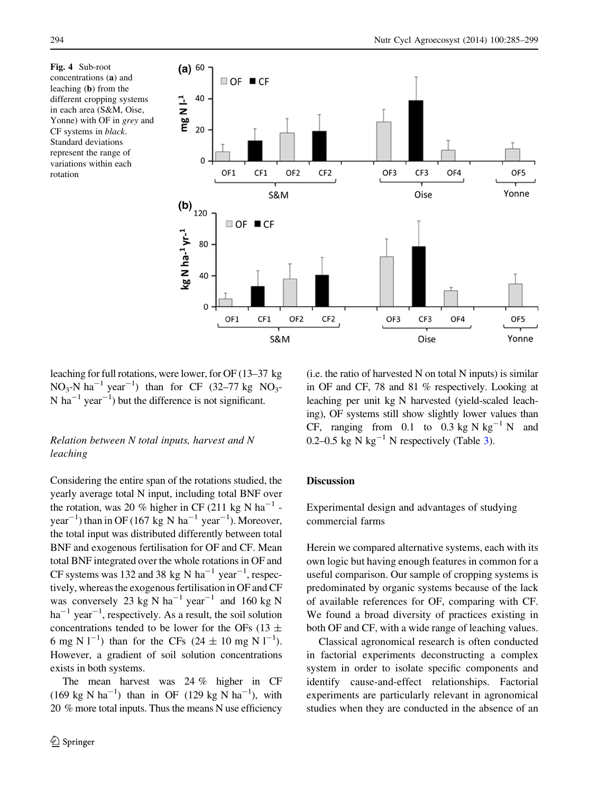<span id="page-9-0"></span>Fig. 4 Sub-root concentrations (a) and leaching (b) from the different cropping systems in each area (S&M, Oise, Yonne) with OF in grey and CF systems in black. Standard deviations represent the range of variations within each rotation



leaching for full rotations, were lower, for OF (13–37 kg  $NO_3-N \text{ ha}^{-1} \text{ year}^{-1}$  than for CF (32–77 kg  $NO_3$ -N ha<sup>-1</sup> year<sup>-1</sup>) but the difference is not significant.

# Relation between N total inputs, harvest and N leaching

Considering the entire span of the rotations studied, the yearly average total N input, including total BNF over the rotation, was 20 % higher in CF (211 kg N ha<sup>-1</sup> year<sup>-1</sup>) than in OF (167 kg N ha<sup>-1</sup> year<sup>-1</sup>). Moreover, the total input was distributed differently between total BNF and exogenous fertilisation for OF and CF. Mean total BNF integrated over the whole rotations in OF and CF systems was 132 and 38 kg N  $ha^{-1}$  year<sup>-1</sup>, respectively, whereas the exogenous fertilisation in OF and CF was conversely 23 kg N ha<sup>-1</sup> year<sup>-1</sup> and 160 kg N  $ha^{-1}$  year<sup>-1</sup>, respectively. As a result, the soil solution concentrations tended to be lower for the OFs (13  $\pm$ 6 mg N  $1^{-1}$ ) than for the CFs (24  $\pm$  10 mg N  $1^{-1}$ ). However, a gradient of soil solution concentrations exists in both systems.

The mean harvest was 24 % higher in CF  $(169 \text{ kg N} \text{ ha}^{-1})$  than in OF  $(129 \text{ kg N} \text{ ha}^{-1})$ , with  $20\%$  more total inputs. Thus the means N use efficiency (i.e. the ratio of harvested N on total N inputs) is similar in OF and CF, 78 and 81 % respectively. Looking at leaching per unit kg N harvested (yield-scaled leaching), OF systems still show slightly lower values than CF, ranging from 0.1 to 0.3 kg N kg<sup>-1</sup> N and 0.2–0.5 kg N kg<sup>-1</sup> N respectively (Table [3](#page-10-0)).

# **Discussion**

Experimental design and advantages of studying commercial farms

Herein we compared alternative systems, each with its own logic but having enough features in common for a useful comparison. Our sample of cropping systems is predominated by organic systems because of the lack of available references for OF, comparing with CF. We found a broad diversity of practices existing in both OF and CF, with a wide range of leaching values.

Classical agronomical research is often conducted in factorial experiments deconstructing a complex system in order to isolate specific components and identify cause-and-effect relationships. Factorial experiments are particularly relevant in agronomical studies when they are conducted in the absence of an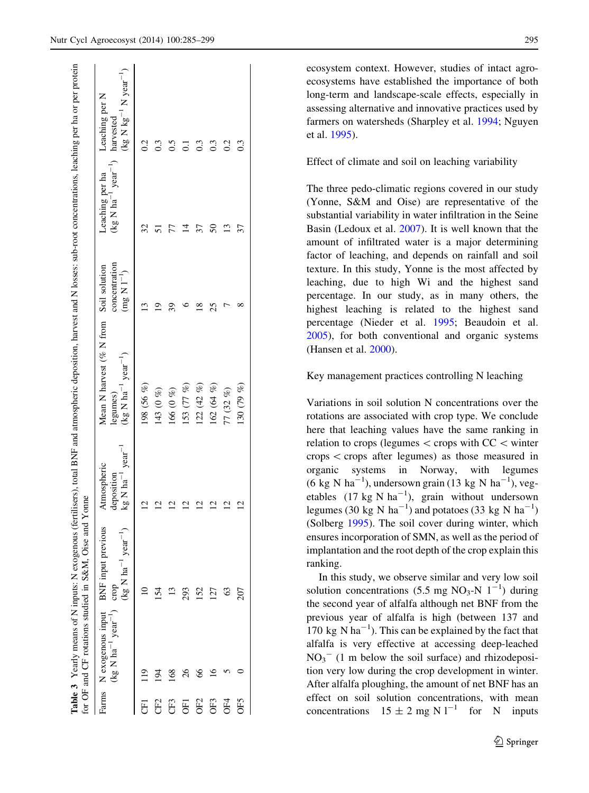<span id="page-10-0"></span>

|                  |                                                            | for OF and CF rotations studied in S&M, Oise and Yonne                            |                                                                         | Table 3 Yearly means of N inputs: N exogenous (fertilisers), total BNF and atmospheric deposition, harvest and N losses: sub-root concentrations, leaching per ha or per protein |                                  |                                                                        |                                               |
|------------------|------------------------------------------------------------|-----------------------------------------------------------------------------------|-------------------------------------------------------------------------|----------------------------------------------------------------------------------------------------------------------------------------------------------------------------------|----------------------------------|------------------------------------------------------------------------|-----------------------------------------------|
|                  | $(kg N ha^{-1} year^{-1})$ crop<br>Farms N exogenous input | <b>BNF</b> input previous<br>$\left({\rm kg\ N\ ha}^{-1}\ {\rm year}^{-1}\right)$ | $kg$ N ha <sup>-1</sup> year <sup>-1</sup><br>Atmospheric<br>deposition | Mean N harvest (% N from Soil solution<br>$(\text{kg N ha}^{-1} \text{ year}^{-1})$<br>legumes)                                                                                  | concentration<br>$(mg N I^{-1})$ | Leaching per ha Leaching per N<br>$(kg N ha^{-1} year^{-1})$ harvested | (kg N $\text{kg}^{-1}$ N year <sup>-1</sup> ) |
| E                |                                                            |                                                                                   |                                                                         | 198 (56 %)                                                                                                                                                                       |                                  |                                                                        | 0.2                                           |
| E                | $\mathfrak{p}$                                             | 154                                                                               |                                                                         | 143 (0 %)                                                                                                                                                                        |                                  |                                                                        | 0.3                                           |
| C <sub>E</sub> 3 | $^{\circ}$                                                 | 13                                                                                |                                                                         | 166(0%                                                                                                                                                                           |                                  |                                                                        |                                               |
| E<br>5           |                                                            | 293                                                                               |                                                                         | 153 (77 %)                                                                                                                                                                       |                                  | 4                                                                      |                                               |
| 6E)              | 8                                                          | 152                                                                               |                                                                         | 122(42%                                                                                                                                                                          |                                  |                                                                        | 0.3                                           |
| OF3              | ≌                                                          | 127                                                                               |                                                                         | 162(64%                                                                                                                                                                          | 25                               |                                                                        | 0.3                                           |
| OF4              |                                                            | $\mathcal{S}$                                                                     | $\bar{\circ}$                                                           | 77 (32 %)                                                                                                                                                                        |                                  | ≌                                                                      | 0.2                                           |
| <b>OF5</b>       |                                                            |                                                                                   | Ņ                                                                       | 130(79%                                                                                                                                                                          |                                  |                                                                        | 0.3                                           |
|                  |                                                            |                                                                                   |                                                                         |                                                                                                                                                                                  |                                  |                                                                        |                                               |

ecosystem context. However, studies of intact agroecosystems have established the importance of both long-term and landscape-scale effects, especially in assessing alternative and innovative practices used by farmers on watersheds (Sharpley et al. [1994](#page-14-0); Nguyen et al. [1995\)](#page-13-0).

Effect of climate and soil on leaching variability

The three pedo-climatic regions covered in our study (Yonne, S&M and Oise) are representative of the substantial variability in water infiltration in the Seine Basin (Ledoux et al. [2007](#page-13-0)). It is well known that the amount of infiltrated water is a major determining factor of leaching, and depends on rainfall and soil texture. In this study, Yonne is the most affected by leaching, due to high Wi and the highest sand percentage. In our study, as in many others, the highest leaching is related to the highest sand percentage (Nieder et al. [1995](#page-13-0); Beaudoin et al. [2005\)](#page-12-0), for both conventional and organic systems (Hansen et al. [2000\)](#page-13-0).

#### Key management practices controlling N leaching

Variations in soil solution N concentrations over the rotations are associated with crop type. We conclude here that leaching values have the same ranking in relation to crops (legumes  $\langle$  crops with  $CC\langle$  winter  $\zeta$  crops after legumes) as those measured in organic systems in Norway, with legumes  $(6 \text{ kg N ha}^{-1})$ , undersown grain  $(13 \text{ kg N ha}^{-1})$ , vegetables  $(17 \text{ kg N ha}^{-1})$ , grain without undersown legumes (30 kg N ha<sup>-1</sup>) and potatoes (33 kg N ha<sup>-1</sup>) (Solberg [1995\)](#page-14-0). The soil cover during winter, which ensures incorporation of SMN, as well as the period of implantation and the root depth of the crop explain this ranking.

In this study, we observe similar and very low soil solution concentrations (5.5 mg  $NO<sub>3</sub>-N$  1<sup>-1</sup>) during the second year of alfalfa although net BNF from the previous year of alfalfa is high (between 137 and 170 kg N  $ha^{-1}$ ). This can be explained by the fact that alfalfa is very effective at accessing deep-leached  $NO<sub>3</sub><sup>-</sup>$  (1 m below the soil surface) and rhizodeposition very low during the crop development in winter. After alfalfa ploughing, the amount of net BNF has an effect on soil solution concentrations, with mean concentrations  $15 \pm 2$  mg N  $l^{-1}$  for N inputs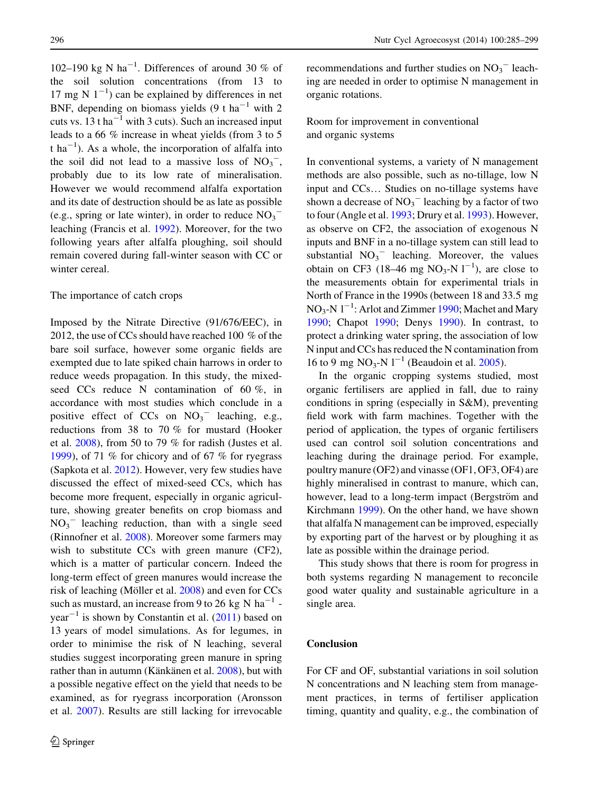102–190 kg N ha<sup>-1</sup>. Differences of around 30 % of the soil solution concentrations (from 13 to 17 mg N  $1^{-1}$ ) can be explained by differences in net BNF, depending on biomass yields  $(9 \text{ t} \text{ ha}^{-1} \text{ with } 2)$ cuts vs.  $13 \text{ tha}^{-1}$  with 3 cuts). Such an increased input leads to a 66 % increase in wheat yields (from 3 to 5 t ha<sup> $-1$ </sup>). As a whole, the incorporation of alfalfa into the soil did not lead to a massive loss of  $NO<sub>3</sub><sup>-</sup>$ , probably due to its low rate of mineralisation. However we would recommend alfalfa exportation and its date of destruction should be as late as possible (e.g., spring or late winter), in order to reduce  $NO_3$ <sup>-</sup> leaching (Francis et al. [1992](#page-13-0)). Moreover, for the two following years after alfalfa ploughing, soil should remain covered during fall-winter season with CC or winter cereal.

#### The importance of catch crops

Imposed by the Nitrate Directive (91/676/EEC), in 2012, the use of CCs should have reached 100 % of the bare soil surface, however some organic fields are exempted due to late spiked chain harrows in order to reduce weeds propagation. In this study, the mixedseed CCs reduce N contamination of 60 %, in accordance with most studies which conclude in a positive effect of  $CCs$  on  $NO<sub>3</sub><sup>-</sup>$  leaching, e.g., reductions from 38 to 70 % for mustard (Hooker et al. [2008\)](#page-13-0), from 50 to 79 % for radish (Justes et al. [1999\)](#page-13-0), of 71 % for chicory and of 67 % for ryegrass (Sapkota et al. [2012](#page-14-0)). However, very few studies have discussed the effect of mixed-seed CCs, which has become more frequent, especially in organic agriculture, showing greater benefits on crop biomass and  $NO<sub>3</sub><sup>-</sup>$  leaching reduction, than with a single seed (Rinnofner et al. [2008](#page-13-0)). Moreover some farmers may wish to substitute CCs with green manure (CF2), which is a matter of particular concern. Indeed the long-term effect of green manures would increase the risk of leaching (Möller et al.  $2008$ ) and even for CCs such as mustard, an increase from 9 to 26 kg N ha<sup>-1</sup>  $year^{-1}$  is shown by Constantin et al. [\(2011](#page-13-0)) based on 13 years of model simulations. As for legumes, in order to minimise the risk of N leaching, several studies suggest incorporating green manure in spring rather than in autumn (Känkänen et al. [2008](#page-13-0)), but with a possible negative effect on the yield that needs to be examined, as for ryegrass incorporation (Aronsson et al. [2007](#page-12-0)). Results are still lacking for irrevocable

recommendations and further studies on  $NO<sub>3</sub><sup>-</sup>$  leaching are needed in order to optimise N management in organic rotations.

Room for improvement in conventional and organic systems

In conventional systems, a variety of N management methods are also possible, such as no-tillage, low N input and CCs… Studies on no-tillage systems have shown a decrease of  $NO_3$ <sup>-</sup> leaching by a factor of two to four (Angle et al. [1993;](#page-12-0) Drury et al. [1993\)](#page-13-0). However, as observe on CF2, the association of exogenous N inputs and BNF in a no-tillage system can still lead to substantial  $NO<sub>3</sub><sup>-</sup>$  leaching. Moreover, the values obtain on CF3 (18–46 mg NO<sub>3</sub>-N  $1^{-1}$ ), are close to the measurements obtain for experimental trials in North of France in the 1990s (between 18 and 33.5 mg  $NO<sub>3</sub>-N 1<sup>-1</sup>$ : Arlot and Zimmer [1990](#page-12-0); Machet and Mary [1990;](#page-13-0) Chapot [1990;](#page-12-0) Denys [1990](#page-13-0)). In contrast, to protect a drinking water spring, the association of low N input and CCs has reduced the N contamination from 16 to 9 mg  $NO_3-N$  l<sup>-1</sup> (Beaudoin et al. [2005\)](#page-12-0).

In the organic cropping systems studied, most organic fertilisers are applied in fall, due to rainy conditions in spring (especially in S&M), preventing field work with farm machines. Together with the period of application, the types of organic fertilisers used can control soil solution concentrations and leaching during the drainage period. For example, poultry manure (OF2) and vinasse (OF1, OF3, OF4) are highly mineralised in contrast to manure, which can, however, lead to a long-term impact (Bergström and Kirchmann [1999](#page-12-0)). On the other hand, we have shown that alfalfa N management can be improved, especially by exporting part of the harvest or by ploughing it as late as possible within the drainage period.

This study shows that there is room for progress in both systems regarding N management to reconcile good water quality and sustainable agriculture in a single area.

### **Conclusion**

For CF and OF, substantial variations in soil solution N concentrations and N leaching stem from management practices, in terms of fertiliser application timing, quantity and quality, e.g., the combination of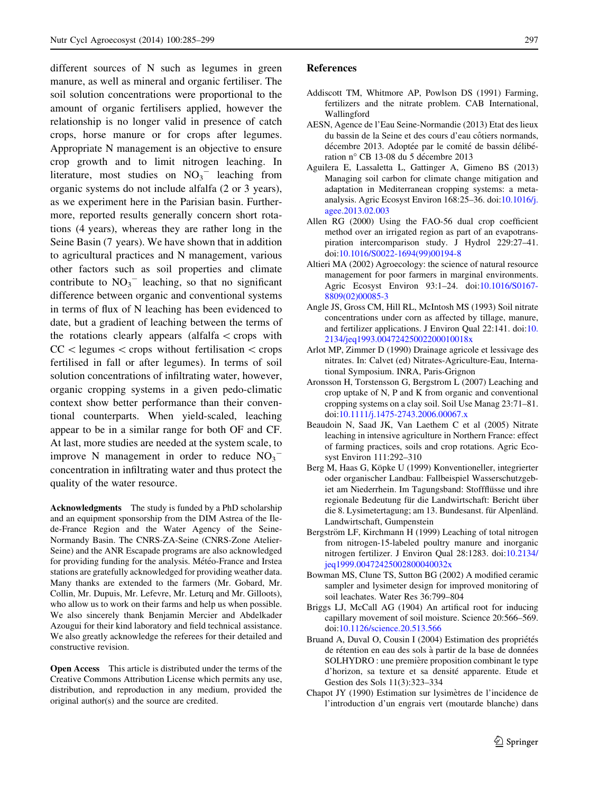<span id="page-12-0"></span>different sources of N such as legumes in green manure, as well as mineral and organic fertiliser. The soil solution concentrations were proportional to the amount of organic fertilisers applied, however the relationship is no longer valid in presence of catch crops, horse manure or for crops after legumes. Appropriate N management is an objective to ensure crop growth and to limit nitrogen leaching. In literature, most studies on  $NO<sub>3</sub><sup>-</sup>$  leaching from organic systems do not include alfalfa (2 or 3 years), as we experiment here in the Parisian basin. Furthermore, reported results generally concern short rotations (4 years), whereas they are rather long in the Seine Basin (7 years). We have shown that in addition to agricultural practices and N management, various other factors such as soil properties and climate contribute to  $NO_3^-$  leaching, so that no significant difference between organic and conventional systems in terms of flux of N leaching has been evidenced to date, but a gradient of leaching between the terms of the rotations clearly appears (alfalfa  $\langle$  crops with  $CC$  < legumes < crops without fertilisation < crops fertilised in fall or after legumes). In terms of soil solution concentrations of infiltrating water, however, organic cropping systems in a given pedo-climatic context show better performance than their conventional counterparts. When yield-scaled, leaching appear to be in a similar range for both OF and CF. At last, more studies are needed at the system scale, to improve N management in order to reduce  $NO_3$ <sup>-</sup> concentration in infiltrating water and thus protect the quality of the water resource.

Acknowledgments The study is funded by a PhD scholarship and an equipment sponsorship from the DIM Astrea of the Ilede-France Region and the Water Agency of the Seine-Normandy Basin. The CNRS-ZA-Seine (CNRS-Zone Atelier-Seine) and the ANR Escapade programs are also acknowledged for providing funding for the analysis. Météo-France and Irstea stations are gratefully acknowledged for providing weather data. Many thanks are extended to the farmers (Mr. Gobard, Mr. Collin, Mr. Dupuis, Mr. Lefevre, Mr. Leturq and Mr. Gilloots), who allow us to work on their farms and help us when possible. We also sincerely thank Benjamin Mercier and Abdelkader Azougui for their kind laboratory and field technical assistance. We also greatly acknowledge the referees for their detailed and constructive revision.

Open Access This article is distributed under the terms of the Creative Commons Attribution License which permits any use, distribution, and reproduction in any medium, provided the original author(s) and the source are credited.

## References

- Addiscott TM, Whitmore AP, Powlson DS (1991) Farming, fertilizers and the nitrate problem. CAB International, Wallingford
- AESN, Agence de l'Eau Seine-Normandie (2013) Etat des lieux du bassin de la Seine et des cours d'eau côtiers normands, décembre 2013. Adoptée par le comité de bassin délibération nº CB 13-08 du 5 décembre 2013
- Aguilera E, Lassaletta L, Gattinger A, Gimeno BS (2013) Managing soil carbon for climate change mitigation and adaptation in Mediterranean cropping systems: a metaanalysis. Agric Ecosyst Environ 168:25–36. doi:[10.1016/j.](http://dx.doi.org/10.1016/j.agee.2013.02.003) [agee.2013.02.003](http://dx.doi.org/10.1016/j.agee.2013.02.003)
- Allen RG (2000) Using the FAO-56 dual crop coefficient method over an irrigated region as part of an evapotranspiration intercomparison study. J Hydrol 229:27–41. doi[:10.1016/S0022-1694\(99\)00194-8](http://dx.doi.org/10.1016/S0022-1694(99)00194-8)
- Altieri MA (2002) Agroecology: the science of natural resource management for poor farmers in marginal environments. Agric Ecosyst Environ 93:1–24. doi:[10.1016/S0167-](http://dx.doi.org/10.1016/S0167-8809(02)00085-3) [8809\(02\)00085-3](http://dx.doi.org/10.1016/S0167-8809(02)00085-3)
- Angle JS, Gross CM, Hill RL, McIntosh MS (1993) Soil nitrate concentrations under corn as affected by tillage, manure, and fertilizer applications. J Environ Qual 22:141. doi:[10.](http://dx.doi.org/10.2134/jeq1993.00472425002200010018x) [2134/jeq1993.00472425002200010018x](http://dx.doi.org/10.2134/jeq1993.00472425002200010018x)
- Arlot MP, Zimmer D (1990) Drainage agricole et lessivage des nitrates. In: Calvet (ed) Nitrates-Agriculture-Eau, International Symposium. INRA, Paris-Grignon
- Aronsson H, Torstensson G, Bergstrom L (2007) Leaching and crop uptake of N, P and K from organic and conventional cropping systems on a clay soil. Soil Use Manag 23:71–81. doi[:10.1111/j.1475-2743.2006.00067.x](http://dx.doi.org/10.1111/j.1475-2743.2006.00067.x)
- Beaudoin N, Saad JK, Van Laethem C et al (2005) Nitrate leaching in intensive agriculture in Northern France: effect of farming practices, soils and crop rotations. Agric Ecosyst Environ 111:292–310
- Berg M, Haas G, Köpke U (1999) Konventioneller, integrierter oder organischer Landbau: Fallbeispiel Wasserschutzgebiet am Niederrhein. Im Tagungsband: Stoffflüsse und ihre regionale Bedeutung für die Landwirtschaft: Bericht über die 8. Lysimetertagung; am 13. Bundesanst. für Alpenländ. Landwirtschaft, Gumpenstein
- Bergström LF, Kirchmann H (1999) Leaching of total nitrogen from nitrogen-15-labeled poultry manure and inorganic nitrogen fertilizer. J Environ Qual 28:1283. doi[:10.2134/](http://dx.doi.org/10.2134/jeq1999.00472425002800040032x) [jeq1999.00472425002800040032x](http://dx.doi.org/10.2134/jeq1999.00472425002800040032x)
- Bowman MS, Clune TS, Sutton BG (2002) A modified ceramic sampler and lysimeter design for improved monitoring of soil leachates. Water Res 36:799–804
- Briggs LJ, McCall AG (1904) An artifical root for inducing capillary movement of soil moisture. Science 20:566–569. doi[:10.1126/science.20.513.566](http://dx.doi.org/10.1126/science.20.513.566)
- Bruand A, Duval O, Cousin I (2004) Estimation des propriétés de rétention en eau des sols à partir de la base de données SOLHYDRO : une première proposition combinant le type d'horizon, sa texture et sa densité apparente. Etude et Gestion des Sols 11(3):323–334
- Chapot JY (1990) Estimation sur lysimètres de l'incidence de l'introduction d'un engrais vert (moutarde blanche) dans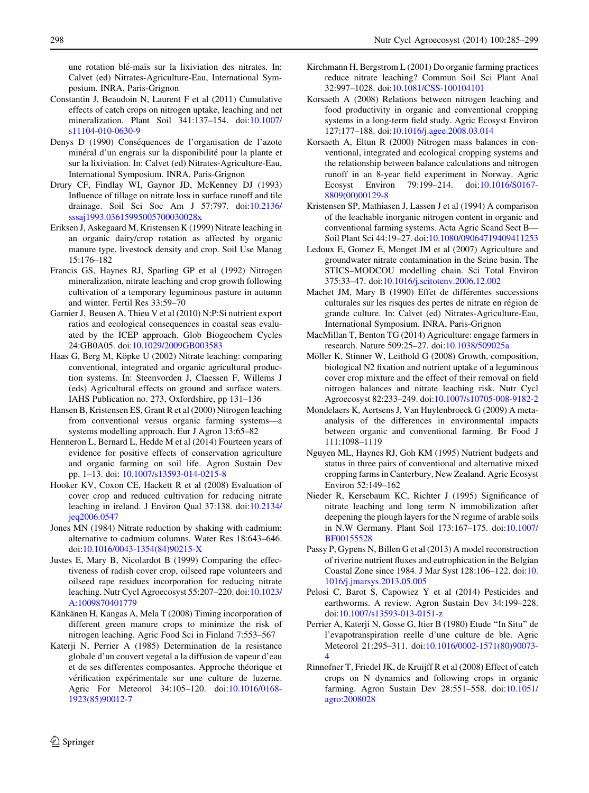<span id="page-13-0"></span>une rotation blé-maïs sur la lixiviation des nitrates. In: Calvet (ed) Nitrates-Agriculture-Eau, International Symposium. INRA, Paris-Grignon

- Constantin J, Beaudoin N, Laurent F et al (2011) Cumulative effects of catch crops on nitrogen uptake, leaching and net mineralization. Plant Soil 341:137–154. doi[:10.1007/](http://dx.doi.org/10.1007/s11104-010-0630-9) [s11104-010-0630-9](http://dx.doi.org/10.1007/s11104-010-0630-9)
- Denys D (1990) Conséquences de l'organisation de l'azote minéral d'un engrais sur la disponibilité pour la plante et sur la lixiviation. In: Calvet (ed) Nitrates-Agriculture-Eau, International Symposium. INRA, Paris-Grignon
- Drury CF, Findlay WI, Gaynor JD, McKenney DJ (1993) Influence of tillage on nitrate loss in surface runoff and tile drainage. Soil Sci Soc Am J 57:797. doi[:10.2136/](http://dx.doi.org/10.2136/sssaj1993.03615995005700030028x) [sssaj1993.03615995005700030028x](http://dx.doi.org/10.2136/sssaj1993.03615995005700030028x)
- Eriksen J, Askegaard M, Kristensen K (1999) Nitrate leaching in an organic dairy/crop rotation as affected by organic manure type, livestock density and crop. Soil Use Manag 15:176–182
- Francis GS, Haynes RJ, Sparling GP et al (1992) Nitrogen mineralization, nitrate leaching and crop growth following cultivation of a temporary leguminous pasture in autumn and winter. Fertil Res 33:59–70
- Garnier J, Beusen A, Thieu V et al (2010) N:P:Si nutrient export ratios and ecological consequences in coastal seas evaluated by the ICEP approach. Glob Biogeochem Cycles 24:GB0A05. doi:[10.1029/2009GB003583](http://dx.doi.org/10.1029/2009GB003583)
- Haas G, Berg M, Köpke U (2002) Nitrate leaching: comparing conventional, integrated and organic agricultural production systems. In: Steenvorden J, Claessen F, Willems J (eds) Agricultural effects on ground and surface waters. IAHS Publication no. 273, Oxfordshire, pp 131–136
- Hansen B, Kristensen ES, Grant R et al (2000) Nitrogen leaching from conventional versus organic farming systemssystems modelling approach. Eur J Agron 13:65–82
- Henneron L, Bernard L, Hedde M et al (2014) Fourteen years of evidence for positive effects of conservation agriculture and organic farming on soil life. Agron Sustain Dev pp. 1–13. doi: [10.1007/s13593-014-0215-8](http://dx.doi.org/10.1007/s13593-014-0215-8)
- Hooker KV, Coxon CE, Hackett R et al (2008) Evaluation of cover crop and reduced cultivation for reducing nitrate leaching in ireland. J Environ Qual 37:138. doi[:10.2134/](http://dx.doi.org/10.2134/jeq2006.0547) [jeq2006.0547](http://dx.doi.org/10.2134/jeq2006.0547)
- Jones MN (1984) Nitrate reduction by shaking with cadmium: alternative to cadmium columns. Water Res 18:643–646. doi[:10.1016/0043-1354\(84\)90215-X](http://dx.doi.org/10.1016/0043-1354(84)90215-X)
- Justes E, Mary B, Nicolardot B (1999) Comparing the effectiveness of radish cover crop, oilseed rape volunteers and oilseed rape residues incorporation for reducing nitrate leaching. Nutr Cycl Agroecosyst 55:207–220. doi[:10.1023/](http://dx.doi.org/10.1023/A:1009870401779) [A:1009870401779](http://dx.doi.org/10.1023/A:1009870401779)
- Känkänen H, Kangas A, Mela T (2008) Timing incorporation of different green manure crops to minimize the risk of nitrogen leaching. Agric Food Sci in Finland 7:553–567
- Katerji N, Perrier A (1985) Determination de la resistance globale d'un couvert vegetal a la diffusion de vapeur d'eau et de ses differentes composantes. Approche théorique et vérification expérimentale sur une culture de luzerne. Agric For Meteorol 34:105–120. doi:[10.1016/0168-](http://dx.doi.org/10.1016/0168-1923(85)90012-7) [1923\(85\)90012-7](http://dx.doi.org/10.1016/0168-1923(85)90012-7)
- Kirchmann H, Bergstrom L (2001) Do organic farming practices reduce nitrate leaching? Commun Soil Sci Plant Anal 32:997–1028. doi[:10.1081/CSS-100104101](http://dx.doi.org/10.1081/CSS-100104101)
- Korsaeth A (2008) Relations between nitrogen leaching and food productivity in organic and conventional cropping systems in a long-term field study. Agric Ecosyst Environ 127:177–188. doi[:10.1016/j.agee.2008.03.014](http://dx.doi.org/10.1016/j.agee.2008.03.014)
- Korsaeth A, Eltun R (2000) Nitrogen mass balances in conventional, integrated and ecological cropping systems and the relationship between balance calculations and nitrogen runoff in an 8-year field experiment in Norway. Agric Ecosyst Environ 79:199–214. doi:[10.1016/S0167-](http://dx.doi.org/10.1016/S0167-8809(00)00129-8) [8809\(00\)00129-8](http://dx.doi.org/10.1016/S0167-8809(00)00129-8)
- Kristensen SP, Mathiasen J, Lassen J et al (1994) A comparison of the leachable inorganic nitrogen content in organic and conventional farming systems. Acta Agric Scand Sect B— Soil Plant Sci 44:19–27. doi[:10.1080/09064719409411253](http://dx.doi.org/10.1080/09064719409411253)
- Ledoux E, Gomez E, Monget JM et al (2007) Agriculture and groundwater nitrate contamination in the Seine basin. The STICS–MODCOU modelling chain. Sci Total Environ 375:33–47. doi:[10.1016/j.scitotenv.2006.12.002](http://dx.doi.org/10.1016/j.scitotenv.2006.12.002)
- Machet JM, Mary B (1990) Effet de différentes successions culturales sur les risques des pertes de nitrate en région de grande culture. In: Calvet (ed) Nitrates-Agriculture-Eau, International Symposium. INRA, Paris-Grignon
- MacMillan T, Benton TG (2014) Agriculture: engage farmers in research. Nature 509:25–27. doi[:10.1038/509025a](http://dx.doi.org/10.1038/509025a)
- Möller K, Stinner W, Leithold G (2008) Growth, composition, biological N2 fixation and nutrient uptake of a leguminous cover crop mixture and the effect of their removal on field nitrogen balances and nitrate leaching risk. Nutr Cycl Agroecosyst 82:233–249. doi:[10.1007/s10705-008-9182-2](http://dx.doi.org/10.1007/s10705-008-9182-2)
- Mondelaers K, Aertsens J, Van Huylenbroeck G (2009) A metaanalysis of the differences in environmental impacts between organic and conventional farming. Br Food J 111:1098–1119
- Nguyen ML, Haynes RJ, Goh KM (1995) Nutrient budgets and status in three pairs of conventional and alternative mixed cropping farms in Canterbury, New Zealand. Agric Ecosyst Environ 52:149–162
- Nieder R, Kersebaum KC, Richter J (1995) Significance of nitrate leaching and long term N immobilization after deepening the plough layers for the N regime of arable soils in N.W Germany. Plant Soil 173:167–175. doi[:10.1007/](http://dx.doi.org/10.1007/BF00155528) [BF00155528](http://dx.doi.org/10.1007/BF00155528)
- Passy P, Gypens N, Billen G et al (2013) A model reconstruction of riverine nutrient fluxes and eutrophication in the Belgian Coastal Zone since 1984. J Mar Syst 128:106–122. doi:[10.](http://dx.doi.org/10.1016/j.jmarsys.2013.05.005) [1016/j.jmarsys.2013.05.005](http://dx.doi.org/10.1016/j.jmarsys.2013.05.005)
- Pelosi C, Barot S, Capowiez Y et al (2014) Pesticides and earthworms. A review. Agron Sustain Dev 34:199–228. doi[:10.1007/s13593-013-0151-z](http://dx.doi.org/10.1007/s13593-013-0151-z)
- Perrier A, Katerji N, Gosse G, Itier B (1980) Etude ''In Situ'' de l'evapotranspiration reelle d'une culture de ble. Agric Meteorol 21:295–311. doi:[10.1016/0002-1571\(80\)90073-](http://dx.doi.org/10.1016/0002-1571(80)90073-4) [4](http://dx.doi.org/10.1016/0002-1571(80)90073-4)
- Rinnofner T, Friedel JK, de Kruijff R et al (2008) Effect of catch crops on N dynamics and following crops in organic farming. Agron Sustain Dev 28:551–558. doi[:10.1051/](http://dx.doi.org/10.1051/agro:2008028) [agro:2008028](http://dx.doi.org/10.1051/agro:2008028)